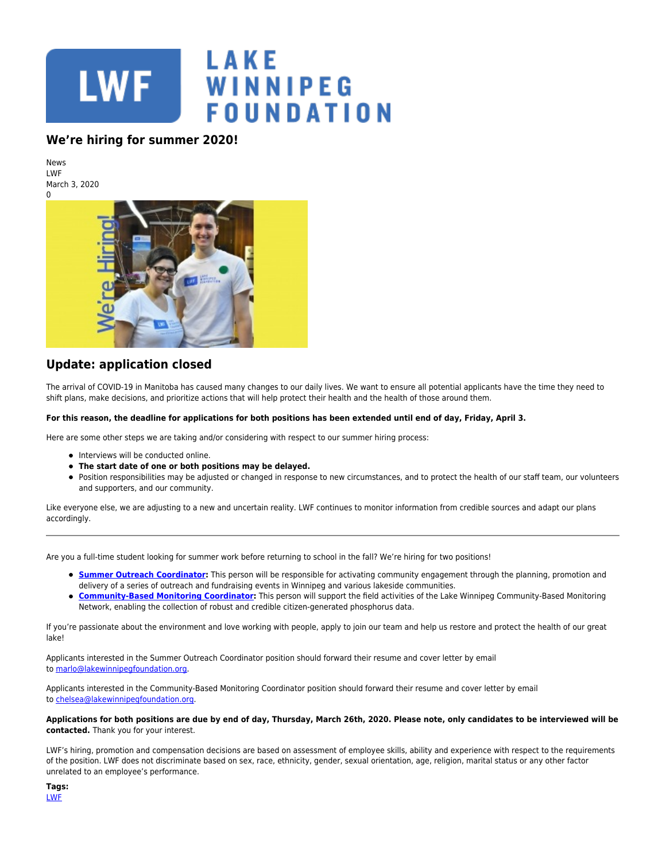

## **We're hiring for summer 2020!**

News LWF March 3, 2020  $\Omega$ 



## **Update: application closed**

The arrival of COVID-19 in Manitoba has caused many changes to our daily lives. We want to ensure all potential applicants have the time they need to shift plans, make decisions, and prioritize actions that will help protect their health and the health of those around them.

## **For this reason, the deadline for applications for both positions has been extended until end of day, Friday, April 3.**

Here are some other steps we are taking and/or considering with respect to our summer hiring process:

- Interviews will be conducted online.
- **The start date of one or both positions may be delayed.**
- Position responsibilities may be adjusted or changed in response to new circumstances, and to protect the health of our staff team, our volunteers and supporters, and our community.

Like everyone else, we are adjusting to a new and uncertain reality. LWF continues to monitor information from credible sources and adapt our plans accordingly.

Are you a full-time student looking for summer work before returning to school in the fall? We're hiring for two positions!

- **[Summer Outreach Coordinator](https://www.lakewinnipegfoundation.org/sites/default/files/LWF-Summer-Outreach-Coordinator-2020_job-description.pdf)**: This person will be responsible for activating community engagement through the planning, promotion and delivery of a series of outreach and fundraising events in Winnipeg and various lakeside communities.
- **[Community-Based Monitoring Coordinator](https://www.lakewinnipegfoundation.org/sites/default/files/LWF-CBM-Coordinator-2020_job-description.pdf):** This person will support the field activities of the Lake Winnipeg Community-Based Monitoring Network, enabling the collection of robust and credible citizen-generated phosphorus data.

If you're passionate about the environment and love working with people, apply to join our team and help us restore and protect the health of our great lake!

Applicants interested in the Summer Outreach Coordinator position should forward their resume and cover letter by email to [marlo@lakewinnipegfoundation.org.](mailto:marlo@lakewinnipegfoundation.org?subject=Summer%20Outreach%20Coordinator)

Applicants interested in the Community-Based Monitoring Coordinator position should forward their resume and cover letter by email to [chelsea@lakewinnipegfoundation.org](mailto:chelsea@lakewinnipegfoundation.org?subject=Community-Based%20Monitoring%20Coordinator).

## **Applications for both positions are due by end of day, Thursday, March 26th, 2020. Please note, only candidates to be interviewed will be contacted.** Thank you for your interest.

LWF's hiring, promotion and compensation decisions are based on assessment of employee skills, ability and experience with respect to the requirements of the position. LWF does not discriminate based on sex, race, ethnicity, gender, sexual orientation, age, religion, marital status or any other factor unrelated to an employee's performance.

| ×<br>. .<br>w<br>$\sim$ |  |
|-------------------------|--|
|                         |  |